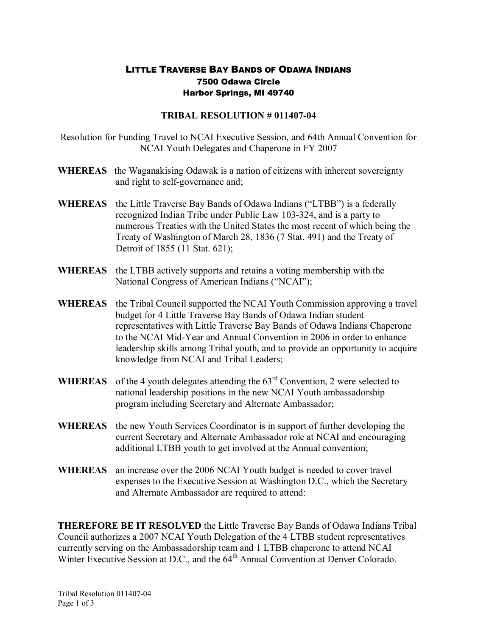## LITTLE TRAVERSE BAY BANDS OF ODAWA INDIANS 7500 Odawa Circle Harbor Springs, MI 49740

## **TRIBAL RESOLUTION # 011407-04**

Resolution for Funding Travel to NCAI Executive Session, and 64th Annual Convention for NCAI Youth Delegates and Chaperone in FY 2007

- **WHEREAS** the Waganakising Odawak is a nation of citizens with inherent sovereignty and right to self-governance and;
- **WHEREAS** the Little Traverse Bay Bands of Odawa Indians ("LTBB") is a federally recognized Indian Tribe under Public Law 103-324, and is a party to numerous Treaties with the United States the most recent of which being the Treaty of Washington of March 28, 1836 (7 Stat. 491) and the Treaty of Detroit of 1855 (11 Stat. 621);
- **WHEREAS** the LTBB actively supports and retains a voting membership with the National Congress of American Indians ("NCAI");
- **WHEREAS** the Tribal Council supported the NCAI Youth Commission approving a travel budget for 4 Little Traverse Bay Bands of Odawa Indian student representatives with Little Traverse Bay Bands of Odawa Indians Chaperone to the NCAI Mid-Year and Annual Convention in 2006 in order to enhance leadership skills among Tribal youth, and to provide an opportunity to acquire knowledge from NCAI and Tribal Leaders;
- **WHEREAS** of the 4 youth delegates attending the  $63<sup>rd</sup>$  Convention, 2 were selected to national leadership positions in the new NCAI Youth ambassadorship program including Secretary and Alternate Ambassador;
- **WHEREAS** the new Youth Services Coordinator is in support of further developing the current Secretary and Alternate Ambassador role at NCAI and encouraging additional LTBB youth to get involved at the Annual convention;
- **WHEREAS** an increase over the 2006 NCAI Youth budget is needed to cover travel expenses to the Executive Session at Washington D.C., which the Secretary and Alternate Ambassador are required to attend:

**THEREFORE BE IT RESOLVED** the Little Traverse Bay Bands of Odawa Indians Tribal Council authorizes a 2007 NCAI Youth Delegation of the 4 LTBB student representatives currently serving on the Ambassadorship team and 1 LTBB chaperone to attend NCAI Winter Executive Session at D.C., and the 64<sup>th</sup> Annual Convention at Denver Colorado.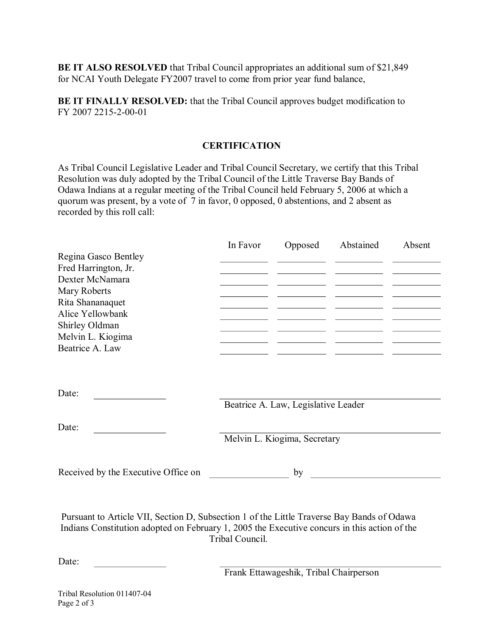**BE IT ALSO RESOLVED** that Tribal Council appropriates an additional sum of \$21,849 for NCAI Youth Delegate FY2007 travel to come from prior year fund balance,

**BE IT FINALLY RESOLVED:** that the Tribal Council approves budget modification to FY 2007 2215-2-00-01

## **CERTIFICATION**

As Tribal Council Legislative Leader and Tribal Council Secretary, we certify that this Tribal Resolution was duly adopted by the Tribal Council of the Little Traverse Bay Bands of Odawa Indians at a regular meeting of the Tribal Council held February 5, 2006 at which a quorum was present, by a vote of 7 in favor, 0 opposed, 0 abstentions, and 2 absent as recorded by this roll call:

|                      | In Favor | Opposed | Abstained | Absent |
|----------------------|----------|---------|-----------|--------|
| Regina Gasco Bentley |          |         |           |        |
| Fred Harrington, Jr. |          |         |           |        |
| Dexter McNamara      |          |         |           |        |
| Mary Roberts         |          |         |           |        |
| Rita Shananaquet     |          |         |           |        |
| Alice Yellowbank     |          |         |           |        |
| Shirley Oldman       |          |         |           |        |
| Melvin L. Kiogima    |          |         |           |        |
| Beatrice A. Law      |          |         |           |        |
|                      |          |         |           |        |
|                      |          |         |           |        |
|                      |          |         |           |        |
| Date:                |          |         |           |        |

Beatrice A. Law, Legislative Leader

Date:

Melvin L. Kiogima, Secretary

Received by the Executive Office on by

Pursuant to Article VII, Section D, Subsection 1 of the Little Traverse Bay Bands of Odawa Indians Constitution adopted on February 1, 2005 the Executive concurs in this action of the Tribal Council.

Date:

Frank Ettawageshik, Tribal Chairperson